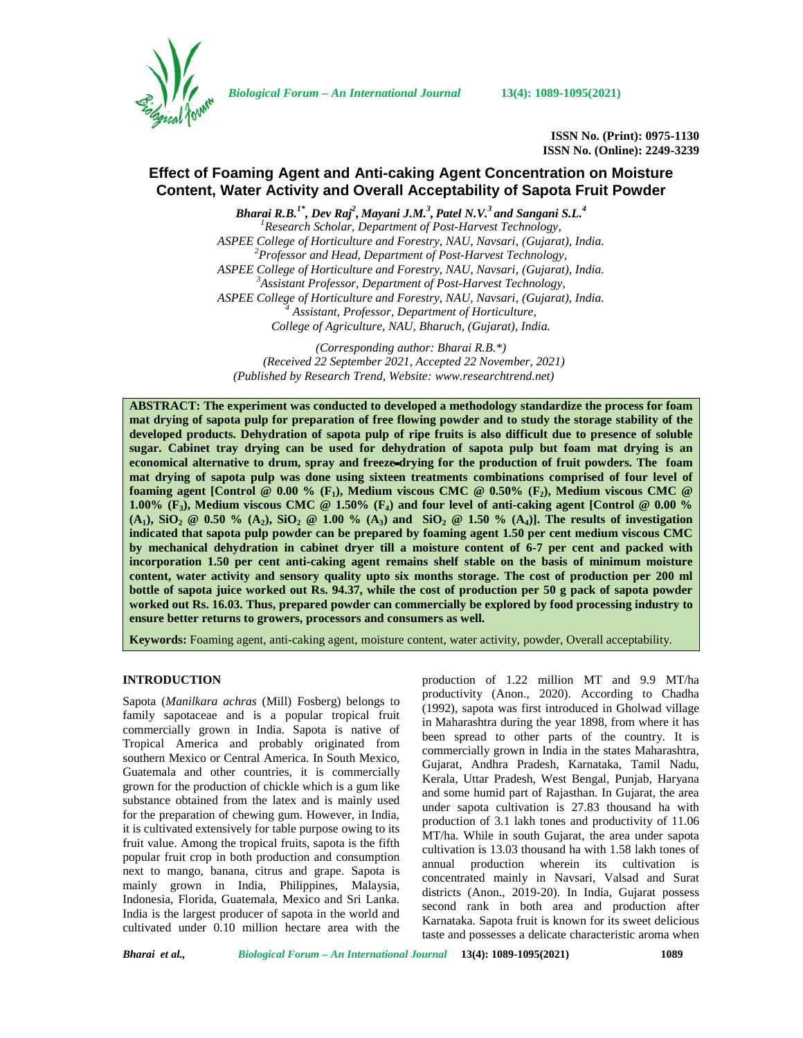

*Biological Forum – An International Journal* **13(4): 1089-1095(2021)**

**ISSN No. (Print): 0975-1130 ISSN No. (Online): 2249-3239**

# **Effect of Foaming Agent and Anti-caking Agent Concentration on Moisture Content, Water Activity and Overall Acceptability of Sapota Fruit Powder**

*Bharai R.B.1\* , Dev Raj<sup>2</sup> , Mayani J.M.<sup>3</sup> , Patel N.V.<sup>3</sup> and Sangani S.L.<sup>4</sup> <sup>1</sup>Research Scholar, Department of Post-Harvest Technology, ASPEE College of Horticulture and Forestry, NAU, Navsari, (Gujarat), India. <sup>2</sup>Professor and Head, Department of Post-Harvest Technology, ASPEE College of Horticulture and Forestry, NAU, Navsari, (Gujarat), India. <sup>3</sup>Assistant Professor, Department of Post-Harvest Technology, ASPEE College of Horticulture and Forestry, NAU, Navsari, (Gujarat), India. <sup>4</sup> Assistant, Professor, Department of Horticulture, College of Agriculture, NAU, Bharuch, (Gujarat), India.*

*(Corresponding author: Bharai R.B.\*) (Received 22 September 2021, Accepted 22 November, 2021) (Published by Research Trend, Website: [www.researchtrend.net\)](www.researchtrend.net)*

**ABSTRACT: The experiment was conducted to developed a methodology standardize the process for foam mat drying of sapota pulp for preparation of free flowing powder and to study the storage stability of the developed products. Dehydration of sapota pulp of ripe fruits is also difficult due to presence of soluble sugar. Cabinet tray drying can be used for dehydration of sapota pulp but foam mat drying is an economical alternative to drum, spray and freeze**‐**drying for the production of fruit powders. The foam mat drying of sapota pulp was done using sixteen treatments combinations comprised of four level of foaming agent [Control @ 0.00 % (F1), Medium viscous CMC @ 0.50% (F2), Medium viscous CMC @ 1.00% (F3), Medium viscous CMC @ 1.50% (F4) and four level of anti-caking agent [Control @ 0.00 % (A1), SiO<sup>2</sup> @ 0.50 % (A2), SiO<sup>2</sup> @ 1.00 % (A3) and SiO<sup>2</sup> @ 1.50 % (A4)]. The results of investigation indicated that sapota pulp powder can be prepared by foaming agent 1.50 per cent medium viscous CMC by mechanical dehydration in cabinet dryer till a moisture content of 6-7 per cent and packed with incorporation 1.50 per cent anti-caking agent remains shelf stable on the basis of minimum moisture content, water activity and sensory quality upto six months storage. The cost of production per 200 ml bottle of sapota juice worked out Rs. 94.37, while the cost of production per 50 g pack of sapota powder worked out Rs. 16.03. Thus, prepared powder can commercially be explored by food processing industry to ensure better returns to growers, processors and consumers as well.**

**Keywords:** Foaming agent, anti-caking agent, moisture content, water activity, powder, Overall acceptability.

## **INTRODUCTION**

Sapota (*Manilkara achras* (Mill) Fosberg) belongs to family sapotaceae and is a popular tropical fruit commercially grown in India. Sapota is native of Tropical America and probably originated from southern Mexico or Central America. In South Mexico, Guatemala and other countries, it is commercially grown for the production of chickle which is a gum like substance obtained from the latex and is mainly used for the preparation of chewing gum. However, in India, it is cultivated extensively for table purpose owing to its fruit value. Among the tropical fruits, sapota is the fifth popular fruit crop in both production and consumption next to mango, banana, citrus and grape. Sapota is mainly grown in India, Philippines, Malaysia, Indonesia, Florida, Guatemala, Mexico and Sri Lanka. India is the largest producer of sapota in the world and cultivated under 0.10 million hectare area with the production of 1.22 million MT and 9.9 MT/ha productivity (Anon., 2020). According to Chadha (1992), sapota was first introduced in Gholwad village in Maharashtra during the year 1898, from where it has been spread to other parts of the country. It is commercially grown in India in the states Maharashtra, Gujarat, Andhra Pradesh, Karnataka, Tamil Nadu, Kerala, Uttar Pradesh, West Bengal, Punjab, Haryana and some humid part of Rajasthan. In Gujarat, the area under sapota cultivation is 27.83 thousand ha with production of 3.1 lakh tones and productivity of 11.06 MT/ha. While in south Gujarat, the area under sapota cultivation is 13.03 thousand ha with 1.58 lakh tones of annual production wherein its cultivation is concentrated mainly in Navsari, Valsad and Surat districts (Anon., 2019-20). In India, Gujarat possess second rank in both area and production after Karnataka. Sapota fruit is known for its sweet delicious taste and possesses a delicate characteristic aroma when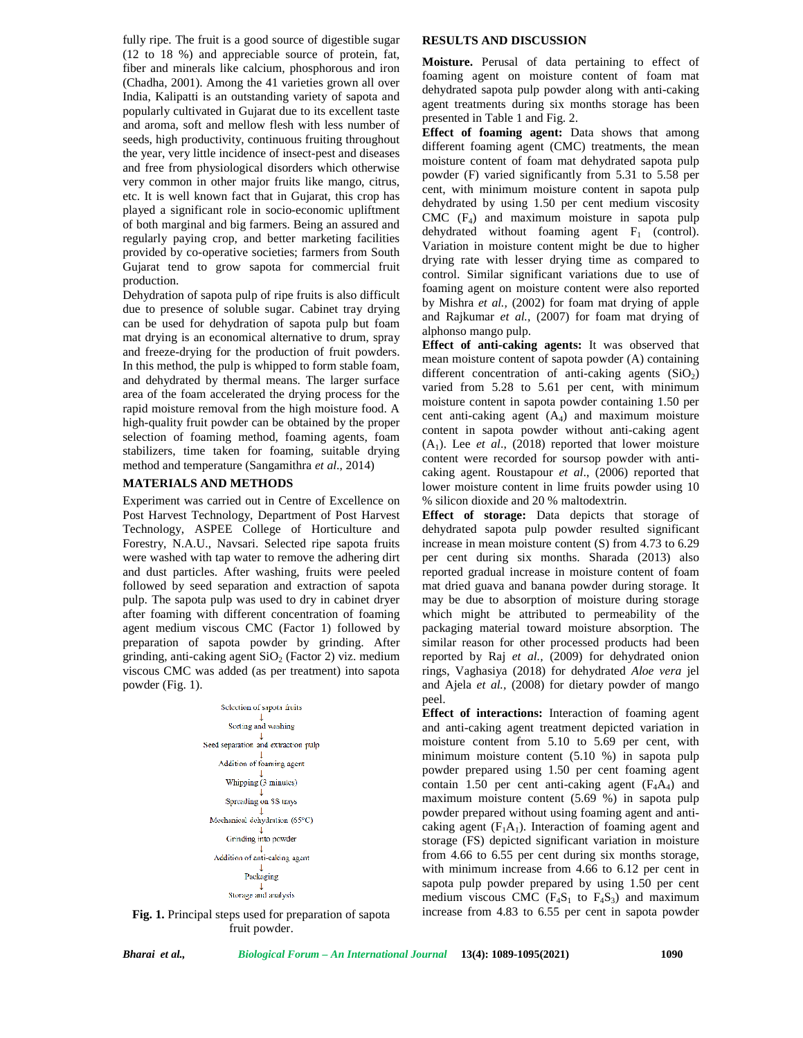fully ripe. The fruit is a good source of digestible sugar (12 to 18 %) and appreciable source of protein, fat, fiber and minerals like calcium, phosphorous and iron (Chadha, 2001). Among the 41 varieties grown all over India, Kalipatti is an outstanding variety of sapota and popularly cultivated in Gujarat due to its excellent taste and aroma, soft and mellow flesh with less number of seeds, high productivity, continuous fruiting throughout the year, very little incidence of insect-pest and diseases and free from physiological disorders which otherwise very common in other major fruits like mango, citrus, etc. It is well known fact that in Gujarat, this crop has played a significant role in socio-economic upliftment of both marginal and big farmers. Being an assured and regularly paying crop, and better marketing facilities provided by co-operative societies; farmers from South Gujarat tend to grow sapota for commercial fruit production.

Dehydration of sapota pulp of ripe fruits is also difficult due to presence of soluble sugar. Cabinet tray drying can be used for dehydration of sapota pulp but foam mat drying is an economical alternative to drum, spray and freeze-drying for the production of fruit powders. In this method, the pulp is whipped to form stable foam, and dehydrated by thermal means. The larger surface area of the foam accelerated the drying process for the rapid moisture removal from the high moisture food. A high-quality fruit powder can be obtained by the proper selection of foaming method, foaming agents, foam stabilizers, time taken for foaming, suitable drying method and temperature (Sangamithra *et al*., 2014)

### **MATERIALS AND METHODS**

Experiment was carried out in Centre of Excellence on Post Harvest Technology, Department of Post Harvest Technology, ASPEE College of Horticulture and Forestry, N.A.U., Navsari. Selected ripe sapota fruits were washed with tap water to remove the adhering dirt and dust particles. After washing, fruits were peeled followed by seed separation and extraction of sapota pulp. The sapota pulp was used to dry in cabinet dryer after foaming with different concentration of foaming agent medium viscous CMC (Factor 1) followed by preparation of sapota powder by grinding. After grinding, anti-caking agent  $SiO<sub>2</sub>$  (Factor 2) viz. medium viscous CMC was added (as per treatment) into sapota powder (Fig. 1).



### **Fig. 1.** Principal steps used for preparation of sapota fruit powder.

#### **RESULTS AND DISCUSSION**

**Moisture.** Perusal of data pertaining to effect of foaming agent on moisture content of foam mat dehydrated sapota pulp powder along with anti-caking agent treatments during six months storage has been presented in Table 1 and Fig. 2.

**Effect of foaming agent:** Data shows that among different foaming agent (CMC) treatments, the mean moisture content of foam mat dehydrated sapota pulp powder (F) varied significantly from 5.31 to 5.58 per cent, with minimum moisture content in sapota pulp dehydrated by using 1.50 per cent medium viscosity  $CMC$  ( $F_4$ ) and maximum moisture in sapota pulp dehydrated without foaming agent  $F_1$  (control). Variation in moisture content might be due to higher drying rate with lesser drying time as compared to control. Similar significant variations due to use of foaming agent on moisture content were also reported by Mishra *et al.,* (2002) for foam mat drying of apple and Rajkumar *et al.,* (2007) for foam mat drying of alphonso mango pulp.

**Effect of anti-caking agents:** It was observed that mean moisture content of sapota powder (A) containing different concentration of anti-caking agents  $(SiO<sub>2</sub>)$ varied from 5.28 to 5.61 per cent, with minimum moisture content in sapota powder containing 1.50 per cent anti-caking agent  $(A_4)$  and maximum moisture content in sapota powder without anti-caking agent (A1). Lee *et al*., (2018) reported that lower moisture content were recorded for soursop powder with anti caking agent. Roustapour *et al*., (2006) reported that lower moisture content in lime fruits powder using 10 % silicon dioxide and 20 % maltodextrin.

**Effect of storage:** Data depicts that storage of dehydrated sapota pulp powder resulted significant increase in mean moisture content (S) from 4.73 to 6.29 per cent during six months. Sharada (2013) also reported gradual increase in moisture content of foam mat dried guava and banana powder during storage. It may be due to absorption of moisture during storage which might be attributed to permeability of the packaging material toward moisture absorption. The similar reason for other processed products had been reported by Raj *et al.,* (2009) for dehydrated onion rings, Vaghasiya (2018) for dehydrated *Aloe vera* jel and Ajela *et al.,* (2008) for dietary powder of mango peel.

**Effect of interactions:** Interaction of foaming agent and anti-caking agent treatment depicted variation in moisture content from 5.10 to 5.69 per cent, with minimum moisture content (5.10 %) in sapota pulp powder prepared using 1.50 per cent foaming agent contain 1.50 per cent anti-caking agent  $(F_4A_4)$  and maximum moisture content (5.69 %) in sapota pulp powder prepared without using foaming agent and anti caking agent  $(F_1A_1)$ . Interaction of foaming agent and storage (FS) depicted significant variation in moisture from 4.66 to 6.55 per cent during six months storage, with minimum increase from 4.66 to 6.12 per cent in sapota pulp powder prepared by using 1.50 per cent medium viscous CMC  $(F_4S_1$  to  $F_4S_3)$  and maximum increase from 4.83 to 6.55 per cent in sapota powder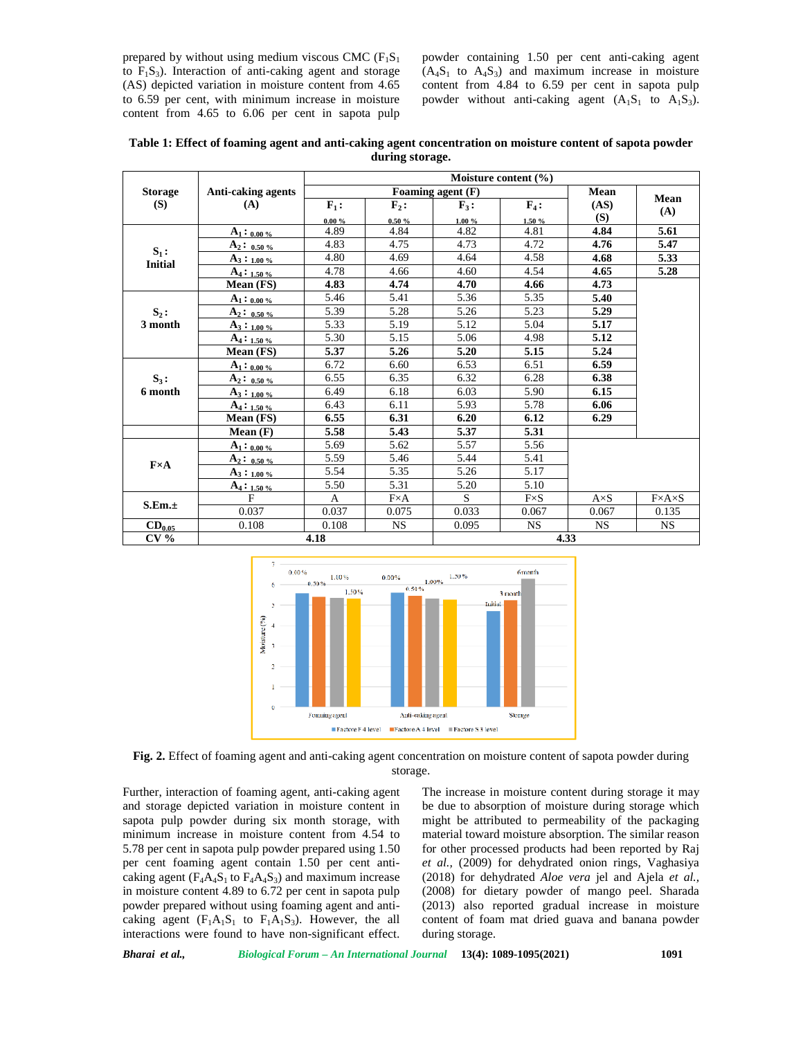prepared by without using medium viscous CMC  $(F_1S_1)$ to  $F_1S_3$ ). Interaction of anti-caking agent and storage (AS) depicted variation in moisture content from 4.65 to 6.59 per cent, with minimum increase in moisture content from 4.65 to 6.06 per cent in sapota pulp powder containing 1.50 per cent anti-caking agent  $(A_4S_1$  to  $A_4S_3$ ) and maximum increase in moisture content from 4.84 to 6.59 per cent in sapota pulp powder without anti-caking agent  $(A_1S_1$  to  $A_1S_3)$ .

**Table 1: Effect of foaming agent and anti-caking agent concentration on moisture content of sapota powder during storage.**

| <b>Storage</b><br>(S)     | <b>Anti-caking agents</b><br>(A) | Moisture content (%) |                  |           |              |              |                       |  |
|---------------------------|----------------------------------|----------------------|------------------|-----------|--------------|--------------|-----------------------|--|
|                           |                                  | Foaming agent (F)    |                  |           |              | Mean         |                       |  |
|                           |                                  | $F_1$ :              | $\mathbf{F}_2$ : | $F_3$ :   | $F_4$ :      | (AS)         | Mean<br>(A)           |  |
|                           |                                  | $0.00 \%$            | 0.50%            | $1.00 \%$ | 1.50%        | (S)          |                       |  |
| $S_1$ :<br><b>Initial</b> | $A_1:_{0.00\%}$                  | 4.89                 | 4.84             | 4.82      | 4.81         | 4.84         | 5.61                  |  |
|                           | $A_2: 0.50%$                     | 4.83                 | 4.75             | 4.73      | 4.72         | 4.76         | 5.47                  |  |
|                           | $A_3:_{1.00\%}$                  | 4.80                 | 4.69             | 4.64      | 4.58         | 4.68         | 5.33                  |  |
|                           | $A_4:_{1.50\%}$                  | 4.78                 | 4.66             | 4.60      | 4.54         | 4.65         | 5.28                  |  |
|                           | Mean (FS)                        | 4.83                 | 4.74             | 4.70      | 4.66         | 4.73         |                       |  |
|                           | $A_1: 0.00\%$                    | 5.46                 | 5.41             | 5.36      | 5.35         | 5.40         |                       |  |
| $S_2$ :                   | $A_2: 0.50%$                     | 5.39                 | 5.28             | 5.26      | 5.23         | 5.29         |                       |  |
| 3 month                   | $A_3:_{1.00\%}$                  | 5.33                 | 5.19             | 5.12      | 5.04         | 5.17         |                       |  |
|                           | $A_4:_{1.50\%}$                  | 5.30                 | 5.15             | 5.06      | 4.98         | 5.12         |                       |  |
|                           | Mean (FS)                        | 5.37                 | 5.26             | 5.20      | 5.15         | 5.24         |                       |  |
|                           | $A_1:$ 0.00%                     | 6.72                 | 6.60             | 6.53      | 6.51         | 6.59         |                       |  |
| $S_3$ :                   | $A_2: 0.50%$                     | 6.55                 | 6.35             | 6.32      | 6.28         | 6.38         |                       |  |
| 6 month                   | $A_3:_{1.00\%}$                  | 6.49                 | 6.18             | 6.03      | 5.90         | 6.15         |                       |  |
|                           | $A_4:_{1.50\%}$                  | 6.43                 | 6.11             | 5.93      | 5.78         | 6.06         |                       |  |
|                           | Mean (FS)                        | 6.55                 | 6.31             | 6.20      | 6.12         | 6.29         |                       |  |
|                           | Mean(F)                          | 5.58                 | 5.43             | 5.37      | 5.31         |              |                       |  |
|                           | $A_1: 0.00\%$                    | 5.69                 | 5.62             | 5.57      | 5.56         |              |                       |  |
|                           | $A_2: 0.50%$                     | 5.59                 | 5.46             | 5.44      | 5.41         |              |                       |  |
| $F \times A$              | $A_3:_{1.00\%}$                  | 5.54                 | 5.35             | 5.26      | 5.17         |              |                       |  |
|                           | $A_4:_{1.50\%}$                  | 5.50                 | 5.31             | 5.20      | 5.10         |              |                       |  |
| S.Em.±                    | F                                | A                    | $F \times A$     | S         | $F \times S$ | $A \times S$ | $F \times A \times S$ |  |
|                           | 0.037                            | 0.037                | 0.075            | 0.033     | 0.067        | 0.067        | 0.135                 |  |
| $CD_{0.05}$               | 0.108                            | 0.108                | <b>NS</b>        | 0.095     | <b>NS</b>    | <b>NS</b>    | <b>NS</b>             |  |
| CV <sub>0</sub>           | 4.18                             |                      |                  | 4.33      |              |              |                       |  |



**Fig. 2.** Effect of foaming agent and anti-caking agent concentration on moisture content of sapota powder during storage.

Further, interaction of foaming agent, anti-caking agent and storage depicted variation in moisture content in sapota pulp powder during six month storage, with minimum increase in moisture content from 4.54 to 5.78 per cent in sapota pulp powder prepared using 1.50 per cent foaming agent contain 1.50 per cent anti caking agent ( $F_4A_4S_1$  to  $F_4A_4S_3$ ) and maximum increase in moisture content 4.89 to 6.72 per cent in sapota pulp powder prepared without using foaming agent and anti caking agent  $(F_1A_1S_1$  to  $F_1A_1S_3)$ . However, the all interactions were found to have non-significant effect.

The increase in moisture content during storage it may be due to absorption of moisture during storage which might be attributed to permeability of the packaging material toward moisture absorption. The similar reason for other processed products had been reported by Raj *et al.,* (2009) for dehydrated onion rings, Vaghasiya (2018) for dehydrated *Aloe vera* jel and Ajela *et al.,* (2008) for dietary powder of mango peel. Sharada (2013) also reported gradual increase in moisture content of foam mat dried guava and banana powder during storage.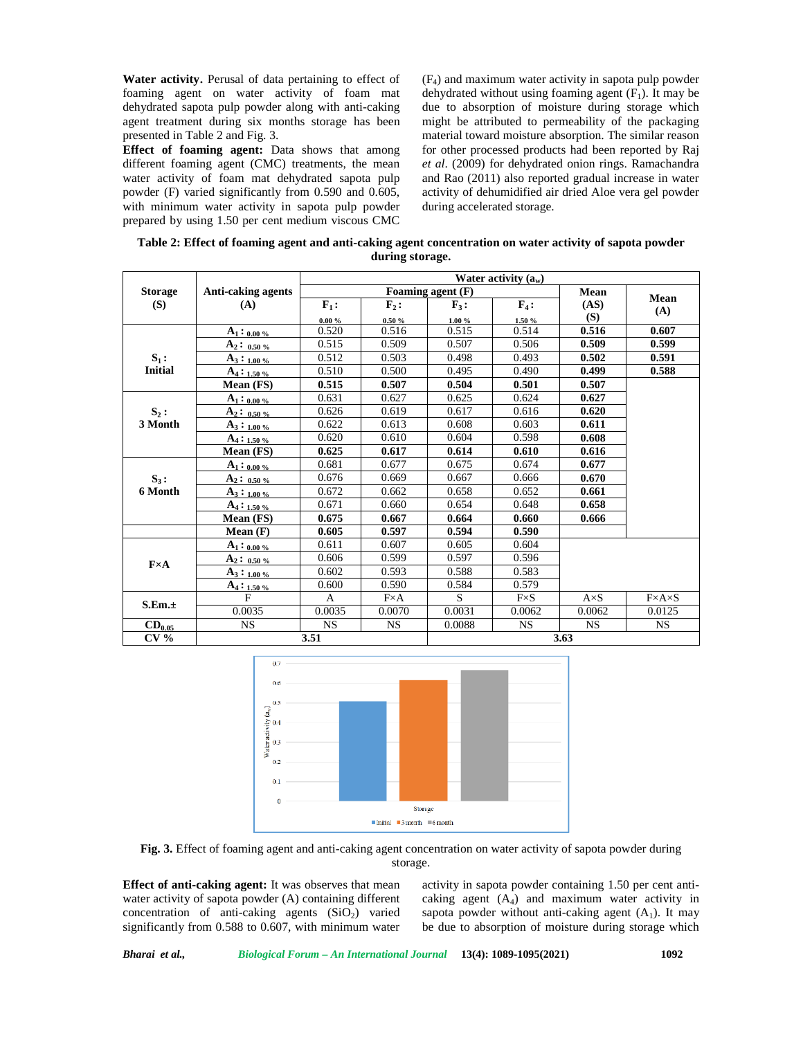**Water activity.** Perusal of data pertaining to effect of foaming agent on water activity of foam mat dehydrated sapota pulp powder along with anti-caking agent treatment during six months storage has been presented in Table 2 and Fig. 3.

**Effect of foaming agent:** Data shows that among different foaming agent (CMC) treatments, the mean water activity of foam mat dehydrated sapota pulp powder (F) varied significantly from 0.590 and 0.605, with minimum water activity in sapota pulp powder prepared by using 1.50 per cent medium viscous CMC (F4) and maximum water activity in sapota pulp powder dehydrated without using foaming agent  $(F_1)$ . It may be due to absorption of moisture during storage which might be attributed to permeability of the packaging material toward moisture absorption. The similar reason for other processed products had been reported by Raj *et al*. (2009) for dehydrated onion rings. Ramachandra and Rao (2011) also reported gradual increase in water activity of dehumidified air dried Aloe vera gel powder during accelerated storage.

| Table 2: Effect of foaming agent and anti-caking agent concentration on water activity of sapota powder |
|---------------------------------------------------------------------------------------------------------|
| during storage.                                                                                         |

|                       | Anti-caking agents<br>(A) | Water activity $(a_w)$ |                               |                           |                            |             |                       |  |
|-----------------------|---------------------------|------------------------|-------------------------------|---------------------------|----------------------------|-------------|-----------------------|--|
| <b>Storage</b><br>(S) |                           | Foaming agent (F)      |                               |                           |                            | Mean        |                       |  |
|                       |                           | $F_1$ :                | $\mathbf{F}_2$ :<br>$0.50 \%$ | $\mathbf{F}_3$ :<br>1.00% | $\mathbf{F}_4$ :<br>1.50 % | (AS)<br>(S) | Mean<br>(A)           |  |
|                       |                           | $0.00 \%$              |                               |                           |                            |             |                       |  |
|                       | $A_1:_{0.00\%}$           | 0.520                  | 0.516                         | 0.515                     | 0.514                      | 0.516       | 0.607                 |  |
|                       | $A_2: 0.50%$              | 0.515                  | 0.509                         | 0.507                     | 0.506                      | 0.509       | 0.599                 |  |
| $S_1$ :               | $A_3:_{1.00\%}$           | 0.512                  | 0.503                         | 0.498                     | 0.493                      | 0.502       | 0.591                 |  |
| <b>Initial</b>        | $A_4:_{1.50\%}$           | 0.510                  | 0.500                         | 0.495                     | 0.490                      | 0.499       | 0.588                 |  |
|                       | Mean (FS)                 | 0.515                  | 0.507                         | 0.504                     | 0.501                      | 0.507       |                       |  |
|                       | $A_1: 0.00\%$             | 0.631                  | 0.627                         | 0.625                     | 0.624                      | 0.627       |                       |  |
| $S_2$ :               | $A_2: 0.50%$              | 0.626                  | 0.619                         | 0.617                     | 0.616                      | 0.620       |                       |  |
| 3 Month               | $A_3:_{1.00\%}$           | 0.622                  | 0.613                         | 0.608                     | 0.603                      | 0.611       |                       |  |
|                       | $A_4:_{1.50\%}$           | 0.620                  | 0.610                         | 0.604                     | 0.598                      | 0.608       |                       |  |
|                       | Mean (FS)                 | 0.625                  | 0.617                         | 0.614                     | 0.610                      | 0.616       |                       |  |
|                       | $A_1:_{0.00\%}$           | 0.681                  | 0.677                         | 0.675                     | 0.674                      | 0.677       |                       |  |
| $S_3$ :               | $A_2: 0.50%$              | 0.676                  | 0.669                         | 0.667                     | 0.666                      | 0.670       |                       |  |
| 6 Month               | $A_3:_{1.00\%}$           | 0.672                  | 0.662                         | 0.658                     | 0.652                      | 0.661       |                       |  |
|                       | $A_4:_{1.50\%}$           | 0.671                  | 0.660                         | 0.654                     | 0.648                      | 0.658       |                       |  |
|                       | Mean (FS)                 | 0.675                  | 0.667                         | 0.664                     | 0.660                      | 0.666       |                       |  |
|                       | Mean(F)                   | 0.605                  | 0.597                         | 0.594                     | 0.590                      |             |                       |  |
| $F \times A$          | $A_1:_{0.00\%}$           | 0.611                  | 0.607                         | 0.605                     | 0.604                      |             |                       |  |
|                       | $A_2: 0.50%$              | 0.606                  | 0.599                         | 0.597                     | 0.596                      |             |                       |  |
|                       | $A_3:_{1.00\%}$           | 0.602                  | 0.593                         | 0.588                     | 0.583                      |             |                       |  |
|                       | $A_4:_{1.50\%}$           | 0.600                  | 0.590                         | 0.584                     | 0.579                      |             |                       |  |
| S.Em.±                | F                         | A                      | $F \times A$                  | S                         | $F \times S$               | $A\times S$ | $F \times A \times S$ |  |
|                       | 0.0035                    | 0.0035                 | 0.0070                        | 0.0031                    | 0.0062                     | 0.0062      | 0.0125                |  |
| $CD_{0.05}$           | <b>NS</b>                 | <b>NS</b>              | <b>NS</b>                     | 0.0088                    | <b>NS</b>                  | <b>NS</b>   | <b>NS</b>             |  |
| CV <sub>0</sub>       | 3.51                      |                        |                               | 3.63                      |                            |             |                       |  |



**Fig. 3.** Effect of foaming agent and anti-caking agent concentration on water activity of sapota powder during storage.

**Effect of anti-caking agent:** It was observes that mean water activity of sapota powder (A) containing different concentration of anti-caking agents  $(SiO<sub>2</sub>)$  varied significantly from 0.588 to 0.607, with minimum water

activity in sapota powder containing 1.50 per cent anti caking agent  $(A_4)$  and maximum water activity in sapota powder without anti-caking agent  $(A_1)$ . It may be due to absorption of moisture during storage which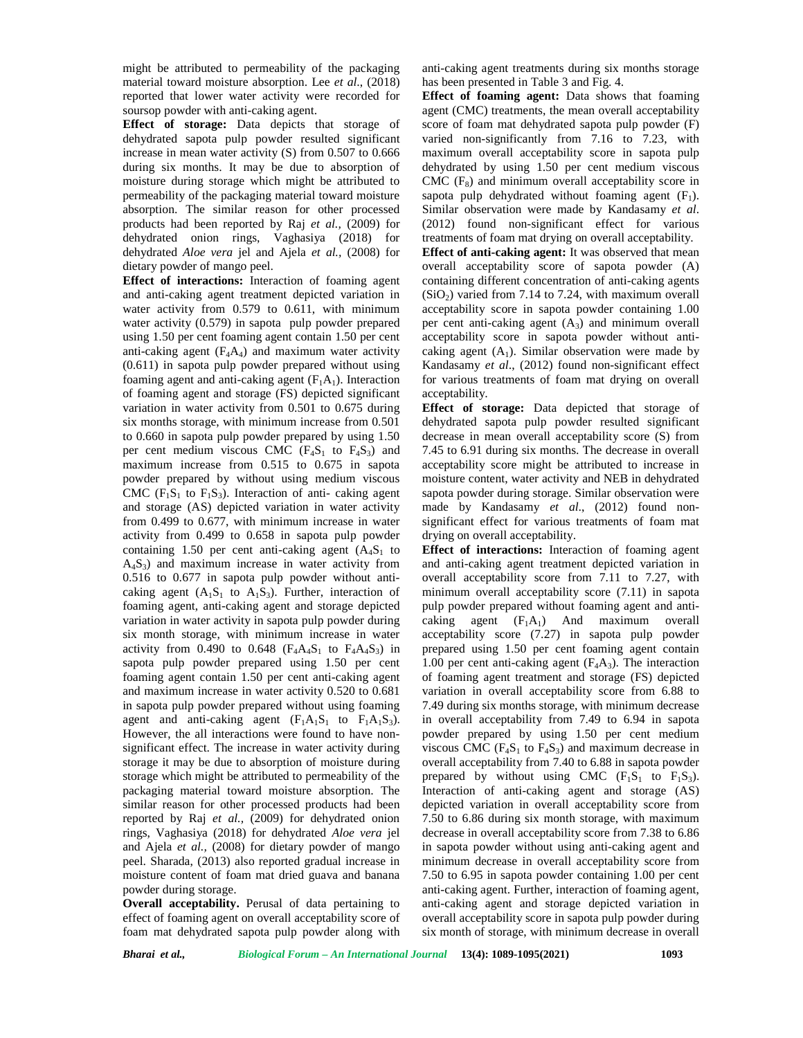might be attributed to permeability of the packaging material toward moisture absorption. Lee *et al*., (2018) reported that lower water activity were recorded for soursop powder with anti-caking agent.

**Effect of storage:** Data depicts that storage of dehydrated sapota pulp powder resulted significant increase in mean water activity (S) from 0.507 to 0.666 during six months. It may be due to absorption of moisture during storage which might be attributed to permeability of the packaging material toward moisture absorption. The similar reason for other processed products had been reported by Raj *et al.,* (2009) for dehydrated onion rings, Vaghasiya (2018) for dehydrated *Aloe vera* jel and Ajela *et al.,* (2008) for dietary powder of mango peel.

**Effect of interactions:** Interaction of foaming agent and anti-caking agent treatment depicted variation in water activity from 0.579 to 0.611, with minimum water activity (0.579) in sapota pulp powder prepared using 1.50 per cent foaming agent contain 1.50 per cent anti-caking agent  $(F_4A_4)$  and maximum water activity (0.611) in sapota pulp powder prepared without using foaming agent and anti-caking agent  $(F_1A_1)$ . Interaction of foaming agent and storage (FS) depicted significant variation in water activity from 0.501 to 0.675 during six months storage, with minimum increase from 0.501 to 0.660 in sapota pulp powder prepared by using 1.50 per cent medium viscous CMC  $(F_4S_1$  to  $F_4S_3)$  and maximum increase from 0.515 to 0.675 in sapota powder prepared by without using medium viscous CMC ( $F_1S_1$  to  $F_1S_3$ ). Interaction of anti- caking agent and storage (AS) depicted variation in water activity from 0.499 to 0.677, with minimum increase in water activity from 0.499 to 0.658 in sapota pulp powder containing 1.50 per cent anti-caking agent  $(A_4S_1$  to  $A_4S_3$ ) and maximum increase in water activity from 0.516 to 0.677 in sapota pulp powder without anti caking agent  $(A_1S_1$  to  $A_1S_3$ ). Further, interaction of foaming agent, anti-caking agent and storage depicted variation in water activity in sapota pulp powder during six month storage, with minimum increase in water activity from 0.490 to 0.648 ( $F_4A_4S_1$  to  $F_4A_4S_3$ ) in sapota pulp powder prepared using 1.50 per cent foaming agent contain 1.50 per cent anti-caking agent and maximum increase in water activity 0.520 to 0.681 in sapota pulp powder prepared without using foaming agent and anti-caking agent  $(F_1A_1S_1$  to  $F_1A_1S_3)$ . However, the all interactions were found to have non significant effect. The increase in water activity during storage it may be due to absorption of moisture during storage which might be attributed to permeability of the packaging material toward moisture absorption. The similar reason for other processed products had been reported by Raj *et al.,* (2009) for dehydrated onion rings, Vaghasiya (2018) for dehydrated *Aloe vera* jel and Ajela *et al.,* (2008) for dietary powder of mango peel. Sharada, (2013) also reported gradual increase in moisture content of foam mat dried guava and banana powder during storage.

**Overall acceptability.** Perusal of data pertaining to effect of foaming agent on overall acceptability score of foam mat dehydrated sapota pulp powder along with

anti-caking agent treatments during six months storage has been presented in Table 3 and Fig. 4.

**Effect of foaming agent:** Data shows that foaming agent (CMC) treatments, the mean overall acceptability score of foam mat dehydrated sapota pulp powder (F) varied non-significantly from 7.16 to 7.23, with maximum overall acceptability score in sapota pulp dehydrated by using 1.50 per cent medium viscous  $CMC$  ( $F_8$ ) and minimum overall acceptability score in sapota pulp dehydrated without foaming agent  $(F_1)$ . Similar observation were made by Kandasamy *et al*. (2012) found non-significant effect for various treatments of foam mat drying on overall acceptability. **Effect of anti-caking agent:** It was observed that mean overall acceptability score of sapota powder (A) containing different concentration of anti-caking agents  $(SiO<sub>2</sub>)$  varied from 7.14 to 7.24, with maximum overall acceptability score in sapota powder containing 1.00 per cent anti-caking agent  $(A_3)$  and minimum overall acceptability score in sapota powder without anti caking agent  $(A_1)$ . Similar observation were made by Kandasamy *et al*., (2012) found non-significant effect for various treatments of foam mat drying on overall acceptability.

**Effect of storage:** Data depicted that storage of dehydrated sapota pulp powder resulted significant decrease in mean overall acceptability score (S) from 7.45 to 6.91 during six months. The decrease in overall acceptability score might be attributed to increase in moisture content, water activity and NEB in dehydrated sapota powder during storage. Similar observation were made by Kandasamy *et al*., (2012) found non significant effect for various treatments of foam mat drying on overall acceptability.

**Effect of interactions:** Interaction of foaming agent and anti-caking agent treatment depicted variation in overall acceptability score from 7.11 to 7.27, with minimum overall acceptability score (7.11) in sapota pulp powder prepared without foaming agent and anti caking agent  $(F_1A_1)$  And maximum overall acceptability score (7.27) in sapota pulp powder prepared using 1.50 per cent foaming agent contain 1.00 per cent anti-caking agent  $(F_4A_3)$ . The interaction of foaming agent treatment and storage (FS) depicted variation in overall acceptability score from 6.88 to 7.49 during six months storage, with minimum decrease in overall acceptability from 7.49 to 6.94 in sapota powder prepared by using 1.50 per cent medium viscous CMC ( $F_4S_1$  to  $F_4S_3$ ) and maximum decrease in overall acceptability from 7.40 to 6.88 in sapota powder prepared by without using CMC  $(F_1S_1$  to  $F_1S_3)$ . Interaction of anti-caking agent and storage (AS) depicted variation in overall acceptability score from 7.50 to 6.86 during six month storage, with maximum decrease in overall acceptability score from 7.38 to 6.86 in sapota powder without using anti-caking agent and minimum decrease in overall acceptability score from 7.50 to 6.95 in sapota powder containing 1.00 per cent anti-caking agent. Further, interaction of foaming agent, anti-caking agent and storage depicted variation in overall acceptability score in sapota pulp powder during six month of storage, with minimum decrease in overall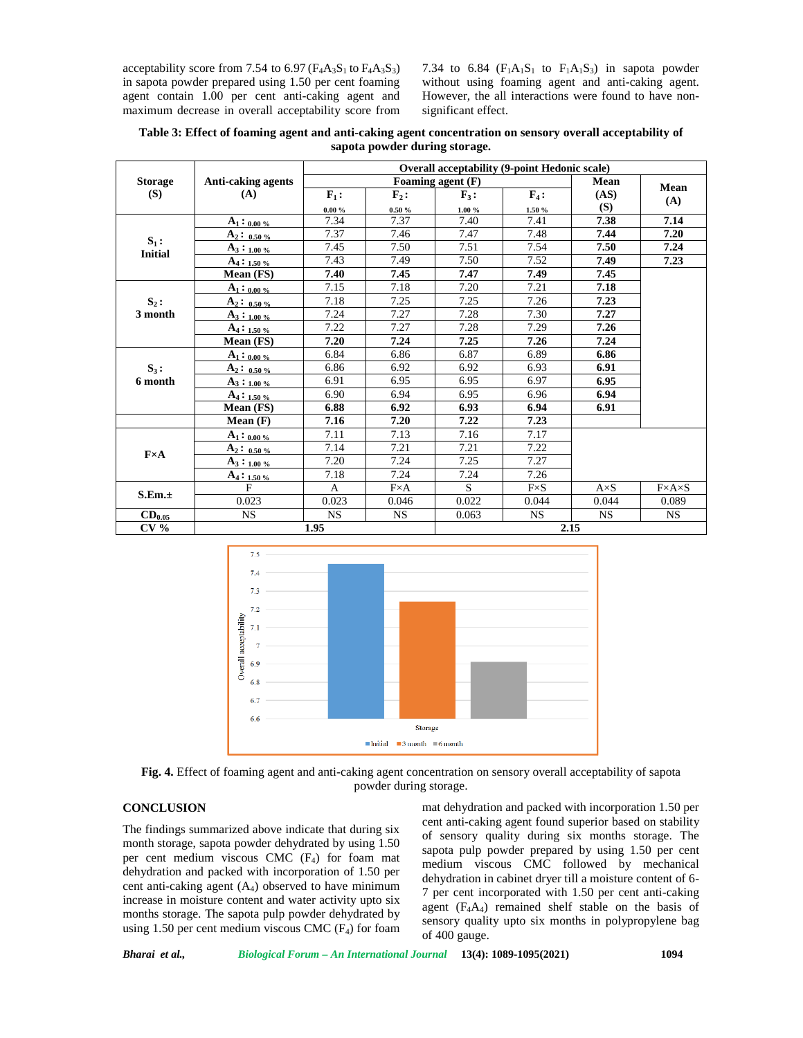acceptability score from 7.54 to 6.97 ( $F_4A_3S_1$  to  $F_4A_3S_3$ ) in sapota powder prepared using 1.50 per cent foaming agent contain 1.00 per cent anti-caking agent and maximum decrease in overall acceptability score from 7.34 to 6.84 ( $F_1A_1S_1$  to  $F_1A_1S_3$ ) in sapota powder without using foaming agent and anti-caking agent. However, the all interactions were found to have non significant effect.

| Table 3: Effect of foaming agent and anti-caking agent concentration on sensory overall acceptability of |  |  |  |  |  |  |
|----------------------------------------------------------------------------------------------------------|--|--|--|--|--|--|
| sapota powder during storage.                                                                            |  |  |  |  |  |  |

| <b>Storage</b><br>(S)     | <b>Anti-caking agents</b><br>(A) | <b>Overall acceptability (9-point Hedonic scale)</b> |                  |                  |             |             |                       |  |
|---------------------------|----------------------------------|------------------------------------------------------|------------------|------------------|-------------|-------------|-----------------------|--|
|                           |                                  | Foaming agent $(F)$                                  |                  |                  |             | Mean        |                       |  |
|                           |                                  | $F_1$ :                                              | $\mathbf{F}_2$ : | $\mathbf{F}_3$ : | $F_4$ :     | (AS)<br>(S) | Mean                  |  |
|                           |                                  | $0.00 \%$                                            | $0.50 \%$        | $1.00 \%$        | 1.50%       |             | (A)                   |  |
| $S_1$ :<br><b>Initial</b> | $A_1:_{0.00\%}$                  | 7.34                                                 | 7.37             | 7.40             | 7.41        | 7.38        | 7.14                  |  |
|                           | $A_2: 0.50%$                     | 7.37                                                 | 7.46             | 7.47             | 7.48        | 7.44        | 7.20                  |  |
|                           | $A_3:_{1.00\%}$                  | 7.45                                                 | 7.50             | 7.51             | 7.54        | 7.50        | 7.24                  |  |
|                           | $A_4:_{1.50\%}$                  | 7.43                                                 | 7.49             | 7.50             | 7.52        | 7.49        | 7.23                  |  |
|                           | Mean (FS)                        | 7.40                                                 | 7.45             | 7.47             | 7.49        | 7.45        |                       |  |
|                           | $A_1: 0.00\%$                    | 7.15                                                 | 7.18             | 7.20             | 7.21        | 7.18        |                       |  |
| $S_2$ :                   | $A_2: 0.50%$                     | 7.18                                                 | 7.25             | 7.25             | 7.26        | 7.23        |                       |  |
| 3 month                   | $A_3:_{1.00\%}$                  | 7.24                                                 | 7.27             | 7.28             | 7.30        | 7.27        |                       |  |
|                           | $A_4:_{1.50\%}$                  | 7.22                                                 | 7.27             | 7.28             | 7.29        | 7.26        |                       |  |
|                           | Mean (FS)                        | 7.20                                                 | 7.24             | 7.25             | 7.26        | 7.24        |                       |  |
| $S_3$ :<br>6 month        | $A_1:$ 0.00 %                    | 6.84                                                 | 6.86             | 6.87             | 6.89        | 6.86        |                       |  |
|                           | $A_2: 0.50%$                     | 6.86                                                 | 6.92             | 6.92             | 6.93        | 6.91        |                       |  |
|                           | $A_3:_{1.00\%}$                  | 6.91                                                 | 6.95             | 6.95             | 6.97        | 6.95        |                       |  |
|                           | $A_4:_{1.50\%}$                  | 6.90                                                 | 6.94             | 6.95             | 6.96        | 6.94        |                       |  |
|                           | Mean (FS)                        | 6.88                                                 | 6.92             | 6.93             | 6.94        | 6.91        |                       |  |
|                           | Mean(F)                          | 7.16                                                 | 7.20             | 7.22             | 7.23        |             |                       |  |
| $F \times A$              | $A_1: 0.00\%$                    | 7.11                                                 | 7.13             | 7.16             | 7.17        |             |                       |  |
|                           | $A_2: 0.50%$                     | 7.14                                                 | 7.21             | 7.21             | 7.22        |             |                       |  |
|                           | $A_3:_{1.00\%}$                  | 7.20                                                 | 7.24             | 7.25             | 7.27        |             |                       |  |
|                           | $A_4:_{1.50\%}$                  | 7.18                                                 | 7.24             | 7.24             | 7.26        |             |                       |  |
| S.Em.±                    | F                                | A                                                    | $F \times A$     | S                | $F\times S$ | $A\times S$ | $F \times A \times S$ |  |
|                           | 0.023                            | 0.023                                                | 0.046            | 0.022            | 0.044       | 0.044       | 0.089                 |  |
| $CD_{0.05}$               | <b>NS</b>                        | <b>NS</b>                                            | <b>NS</b>        | 0.063            | <b>NS</b>   | <b>NS</b>   | <b>NS</b>             |  |
| CV <sub>0</sub>           |                                  | 1.95                                                 |                  |                  | 2.15        |             |                       |  |



**Fig. 4.** Effect of foaming agent and anti-caking agent concentration on sensory overall acceptability of sapota powder during storage.

# **CONCLUSION**

The findings summarized above indicate that during six month storage, sapota powder dehydrated by using 1.50 per cent medium viscous CMC  $(F_4)$  for foam mat dehydration and packed with incorporation of 1.50 per cent anti-caking agent  $(A<sub>4</sub>)$  observed to have minimum increase in moisture content and water activity upto six months storage. The sapota pulp powder dehydrated by using 1.50 per cent medium viscous CMC  $(F_4)$  for foam mat dehydration and packed with incorporation 1.50 per cent anti-caking agent found superior based on stability of sensory quality during six months storage. The sapota pulp powder prepared by using 1.50 per cent medium viscous CMC followed by mechanical dehydration in cabinet dryer till a moisture content of 6- 7 per cent incorporated with 1.50 per cent anti-caking agent  $(F_4A_4)$  remained shelf stable on the basis of sensory quality upto six months in polypropylene bag of 400 gauge.